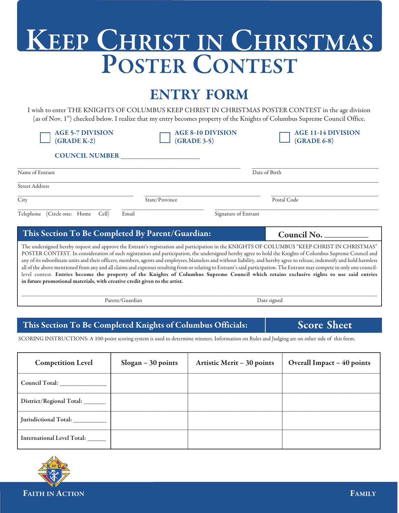## **KEEP CHRIST IN CHRISTMAS POSTER CONTEST**

### **ENTRY FORM**

I wish to enter THE KNIGHTS OF COLUMBUS KEEP CHRIST IN CHRISTMAS POSTER CONTEST in the age division (as of Nov. 1st) checked below. I realize that my entry becomes property of the Knights of Columbus Supreme Council Office.

| <b>AGE 5-7 DIVISION</b><br>$(GRADE K-2)$                                                                                                                                                                                                                                                                                                                                                                                                                                                                                                                                                                                                                                                                                                                                                                                                                                                      | <b>AGE 8-10 DIVISION</b><br>$(GRADE 3-5)$ | <b>AGE 11-14 DIVISION</b><br>$(GRADE 6-8)$ |  |  |
|-----------------------------------------------------------------------------------------------------------------------------------------------------------------------------------------------------------------------------------------------------------------------------------------------------------------------------------------------------------------------------------------------------------------------------------------------------------------------------------------------------------------------------------------------------------------------------------------------------------------------------------------------------------------------------------------------------------------------------------------------------------------------------------------------------------------------------------------------------------------------------------------------|-------------------------------------------|--------------------------------------------|--|--|
| <b>COUNCIL NUMBER</b>                                                                                                                                                                                                                                                                                                                                                                                                                                                                                                                                                                                                                                                                                                                                                                                                                                                                         |                                           |                                            |  |  |
| Name of Entrant                                                                                                                                                                                                                                                                                                                                                                                                                                                                                                                                                                                                                                                                                                                                                                                                                                                                               |                                           | Date of Birth                              |  |  |
| <b>Street Address</b>                                                                                                                                                                                                                                                                                                                                                                                                                                                                                                                                                                                                                                                                                                                                                                                                                                                                         |                                           |                                            |  |  |
| City                                                                                                                                                                                                                                                                                                                                                                                                                                                                                                                                                                                                                                                                                                                                                                                                                                                                                          | State/Province                            | Postal Code                                |  |  |
| Telephone (Circle one: Home<br>Cell)                                                                                                                                                                                                                                                                                                                                                                                                                                                                                                                                                                                                                                                                                                                                                                                                                                                          | Email<br>Signature of Entrant             |                                            |  |  |
| This Section To Be Completed By Parent/Guardian:                                                                                                                                                                                                                                                                                                                                                                                                                                                                                                                                                                                                                                                                                                                                                                                                                                              |                                           | Council No.                                |  |  |
| The undersigned hereby request and approve the Entrant's registration and participation in the KNIGHTS OF COLUMBUS "KEEP CHRIST IN CHRISTMAS"<br>POSTER CONTEST. In consideration of such registration and participation, the undersigned hereby agree to hold the Knights of Columbus Supreme Council and<br>any of its subordinate units and their officers, members, agents and employees, blameless and without liability, and hereby agree to release, indemnify and hold harmless<br>all of the above mentioned from any and all claims and expenses resulting from or relating to Entrant's said participation. The Entrant may compete in only one council-<br>level contest. Entries become the property of the Knights of Columbus Supreme Council which retains exclusive rights to use said entries<br>in future promotional materials, with creative credit given to the artist. |                                           |                                            |  |  |
| Parent/Guardian                                                                                                                                                                                                                                                                                                                                                                                                                                                                                                                                                                                                                                                                                                                                                                                                                                                                               |                                           | Date signed                                |  |  |
|                                                                                                                                                                                                                                                                                                                                                                                                                                                                                                                                                                                                                                                                                                                                                                                                                                                                                               |                                           |                                            |  |  |

### **This Section To Be Completed Knights of Columbus Officials:**

SCORING INSTRUCTIONS: A 100-point scoring system is used to determine winners. Information on Rules and Judging are on other side of this form.

| <b>Competition Level</b>         | $Slogan - 30$ points | Artistic Merit - 30 points | Overall Impact - 40 points |
|----------------------------------|----------------------|----------------------------|----------------------------|
| Council Total:                   |                      |                            |                            |
| District/Regional Total: ______  |                      |                            |                            |
| Jurisdictional Total: __________ |                      |                            |                            |
| International Level Total: _____ |                      |                            |                            |



**Score Sheet**